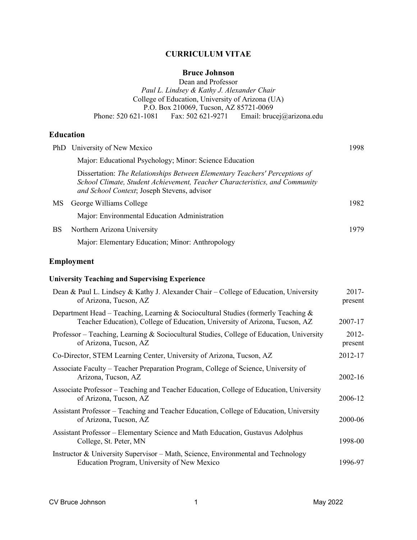# **CURRICULUM VITAE**

# **Bruce Johnson**

Dean and Professor *Paul L. Lindsey & Kathy J. Alexander Chair* College of Education, University of Arizona (UA) P.O. Box 210069, Tucson, AZ 85721-0069 Phone: 520 621-1081 Fax: 502 621-9271 Email: brucej@arizona.edu

# **Education**

|           | PhD University of New Mexico                                                                                                                                                                              | 1998 |
|-----------|-----------------------------------------------------------------------------------------------------------------------------------------------------------------------------------------------------------|------|
|           | Major: Educational Psychology; Minor: Science Education                                                                                                                                                   |      |
|           | Dissertation: The Relationships Between Elementary Teachers' Perceptions of<br>School Climate, Student Achievement, Teacher Characteristics, and Community<br>and School Context; Joseph Stevens, advisor |      |
| <b>MS</b> | George Williams College                                                                                                                                                                                   | 1982 |
|           | Major: Environmental Education Administration                                                                                                                                                             |      |
| <b>BS</b> | Northern Arizona University                                                                                                                                                                               | 1979 |
|           | Major: Elementary Education; Minor: Anthropology                                                                                                                                                          |      |

# **Employment**

# **University Teaching and Supervising Experience**

| Dean & Paul L. Lindsey & Kathy J. Alexander Chair – College of Education, University<br>of Arizona, Tucson, AZ                                                   | $2017 -$<br>present |
|------------------------------------------------------------------------------------------------------------------------------------------------------------------|---------------------|
| Department Head – Teaching, Learning & Sociocultural Studies (formerly Teaching &<br>Teacher Education), College of Education, University of Arizona, Tucson, AZ | 2007-17             |
| Professor – Teaching, Learning & Sociocultural Studies, College of Education, University<br>of Arizona, Tucson, AZ                                               | 2012-<br>present    |
| Co-Director, STEM Learning Center, University of Arizona, Tucson, AZ                                                                                             | 2012-17             |
| Associate Faculty – Teacher Preparation Program, College of Science, University of<br>Arizona, Tucson, AZ                                                        | 2002-16             |
| Associate Professor – Teaching and Teacher Education, College of Education, University<br>of Arizona, Tucson, AZ                                                 | 2006-12             |
| Assistant Professor – Teaching and Teacher Education, College of Education, University<br>of Arizona, Tucson, AZ                                                 | 2000-06             |
| Assistant Professor – Elementary Science and Math Education, Gustavus Adolphus<br>College, St. Peter, MN                                                         | 1998-00             |
| Instructor & University Supervisor – Math, Science, Environmental and Technology<br>Education Program, University of New Mexico                                  | 1996-97             |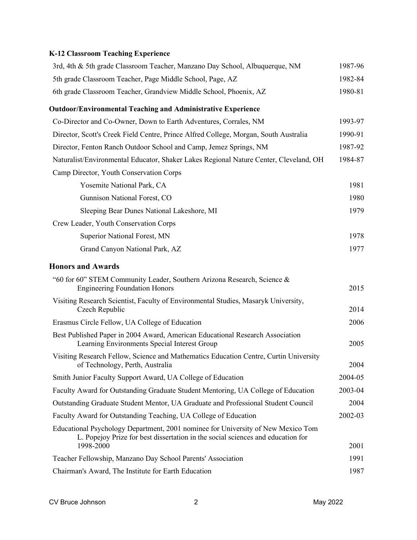# **K-12 Classroom Teaching Experience**

| 3rd, 4th & 5th grade Classroom Teacher, Manzano Day School, Albuquerque, NM                                                                                                      | 1987-96      |
|----------------------------------------------------------------------------------------------------------------------------------------------------------------------------------|--------------|
| 5th grade Classroom Teacher, Page Middle School, Page, AZ                                                                                                                        | 1982-84      |
| 6th grade Classroom Teacher, Grandview Middle School, Phoenix, AZ                                                                                                                | 1980-81      |
| <b>Outdoor/Environmental Teaching and Administrative Experience</b>                                                                                                              |              |
| Co-Director and Co-Owner, Down to Earth Adventures, Corrales, NM                                                                                                                 | 1993-97      |
| Director, Scott's Creek Field Centre, Prince Alfred College, Morgan, South Australia                                                                                             | 1990-91      |
| Director, Fenton Ranch Outdoor School and Camp, Jemez Springs, NM                                                                                                                | 1987-92      |
| Naturalist/Environmental Educator, Shaker Lakes Regional Nature Center, Cleveland, OH                                                                                            | 1984-87      |
| Camp Director, Youth Conservation Corps                                                                                                                                          |              |
| Yosemite National Park, CA                                                                                                                                                       | 1981         |
| Gunnison National Forest, CO                                                                                                                                                     | 1980         |
| Sleeping Bear Dunes National Lakeshore, MI                                                                                                                                       | 1979         |
| Crew Leader, Youth Conservation Corps                                                                                                                                            |              |
| Superior National Forest, MN                                                                                                                                                     | 1978         |
| Grand Canyon National Park, AZ                                                                                                                                                   | 1977         |
| <b>Honors and Awards</b>                                                                                                                                                         |              |
| "60 for 60" STEM Community Leader, Southern Arizona Research, Science &<br><b>Engineering Foundation Honors</b>                                                                  | 2015         |
| Visiting Research Scientist, Faculty of Environmental Studies, Masaryk University,<br>Czech Republic                                                                             | 2014         |
| Erasmus Circle Fellow, UA College of Education                                                                                                                                   | 2006         |
| Best Published Paper in 2004 Award, American Educational Research Association<br>Learning Environments Special Interest Group                                                    | 2005         |
| Visiting Research Fellow, Science and Mathematics Education Centre, Curtin University<br>of Technology, Perth, Australia                                                         | 2004         |
| Smith Junior Faculty Support Award, UA College of Education                                                                                                                      | 2004-05      |
| Faculty Award for Outstanding Graduate Student Mentoring, UA College of Education                                                                                                | 2003-04      |
| Outstanding Graduate Student Mentor, UA Graduate and Professional Student Council                                                                                                | 2004         |
| Faculty Award for Outstanding Teaching, UA College of Education                                                                                                                  | 2002-03      |
| Educational Psychology Department, 2001 nominee for University of New Mexico Tom<br>L. Popejoy Prize for best dissertation in the social sciences and education for<br>1998-2000 |              |
|                                                                                                                                                                                  | 2001<br>1991 |
| Teacher Fellowship, Manzano Day School Parents' Association<br>Chairman's Award, The Institute for Earth Education                                                               | 1987         |
|                                                                                                                                                                                  |              |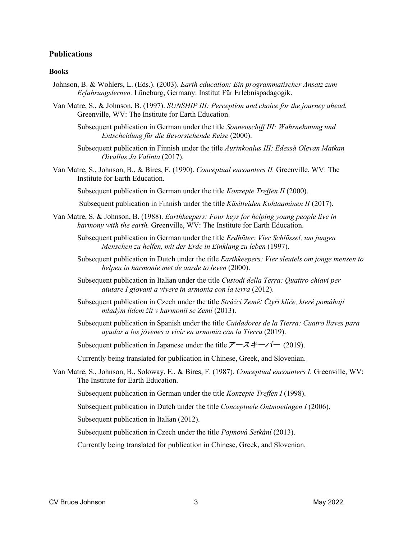## **Publications**

#### **Books**

- Johnson, B. & Wohlers, L. (Eds.). (2003). *Earth education: Ein programmatischer Ansatz zum Erfahrungslernen.* Lüneburg, Germany: Institut Für Erlebnispadagogik.
- Van Matre, S., & Johnson, B. (1997). *SUNSHIP III: Perception and choice for the journey ahead.* Greenville, WV: The Institute for Earth Education.
	- Subsequent publication in German under the title *Sonnenschiff III: Wahrnehmung und Entscheidung für die Bevorstehende Reise* (2000).
	- Subsequent publication in Finnish under the title *Aurinkoalus III: Edessä Olevan Matkan Oivallus Ja Valinta* (2017).
- Van Matre, S., Johnson, B., & Bires, F. (1990). *Conceptual encounters II.* Greenville, WV: The Institute for Earth Education.

Subsequent publication in German under the title *Konzepte Treffen II* (2000).

Subsequent publication in Finnish under the title *Käsitteiden Kohtaaminen II* (2017).

- Van Matre, S. & Johnson, B. (1988). *Earthkeepers: Four keys for helping young people live in harmony with the earth.* Greenville, WV: The Institute for Earth Education.
	- Subsequent publication in German under the title *Erdhüter: Vier Schlüssel, um jungen Menschen zu helfen, mit der Erde in Einklang zu leben* (1997).
	- Subsequent publication in Dutch under the title *Earthkeepers: Vier sleutels om jonge mensen to helpen in harmonie met de aarde to leven* (2000).
	- Subsequent publication in Italian under the title *Custodi della Terra: Quattro chiavi per aiutare I giovani a vivere in armonia con la terra* (2012).
	- Subsequent publication in Czech under the title *Strážci Země: Čtyři klíče, které pomáhají mladým lidem žít v harmonii se Zemí* (2013).
	- Subsequent publication in Spanish under the title *Cuidadores de la Tierra: Cuatro llaves para ayudar a los jóvenes a vivir en armonía can la Tierra* (2019).

Subsequent publication in Japanese under the title  $\overline{\mathcal{F}} - \overline{\mathcal{A}} + \overline{\mathcal{A}}$  (2019).

Currently being translated for publication in Chinese, Greek, and Slovenian.

Van Matre, S., Johnson, B., Soloway, E., & Bires, F. (1987). *Conceptual encounters I.* Greenville, WV: The Institute for Earth Education.

Subsequent publication in German under the title *Konzepte Treffen I* (1998).

Subsequent publication in Dutch under the title *Conceptuele Ontmoetingen I* (2006).

Subsequent publication in Italian (2012).

Subsequent publication in Czech under the title *Pojmová Setkání* (2013).

Currently being translated for publication in Chinese, Greek, and Slovenian.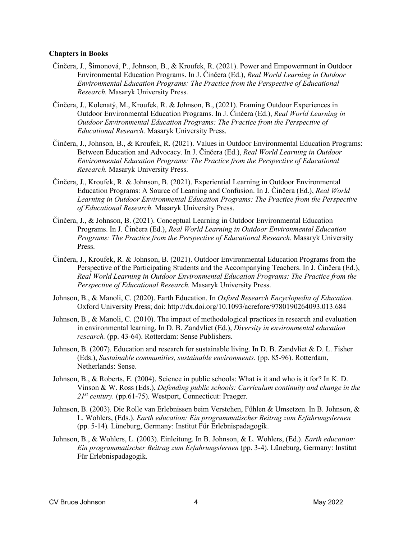### **Chapters in Books**

- Činčera, J., Šimonová, P., Johnson, B., & Kroufek, R. (2021). Power and Empowerment in Outdoor Environmental Education Programs. In J. Činčera (Ed.), *Real World Learning in Outdoor Environmental Education Programs: The Practice from the Perspective of Educational Research.* Masaryk University Press.
- Činčera, J., Kolenatý, M., Kroufek, R. & Johnson, B., (2021). Framing Outdoor Experiences in Outdoor Environmental Education Programs. In J. Činčera (Ed.), *Real World Learning in Outdoor Environmental Education Programs: The Practice from the Perspective of Educational Research.* Masaryk University Press.
- Činčera, J., Johnson, B., & Kroufek, R. (2021). Values in Outdoor Environmental Education Programs: Between Education and Advocacy. In J. Činčera (Ed.), *Real World Learning in Outdoor Environmental Education Programs: The Practice from the Perspective of Educational Research.* Masaryk University Press.
- Činčera, J., Kroufek, R. & Johnson, B. (2021). Experiential Learning in Outdoor Environmental Education Programs: A Source of Learning and Confusion. In J. Činčera (Ed.), *Real World Learning in Outdoor Environmental Education Programs: The Practice from the Perspective of Educational Research.* Masaryk University Press.
- Činčera, J., & Johnson, B. (2021). Conceptual Learning in Outdoor Environmental Education Programs. In J. Činčera (Ed.), *Real World Learning in Outdoor Environmental Education Programs: The Practice from the Perspective of Educational Research.* Masaryk University Press.
- Činčera, J., Kroufek, R. & Johnson, B. (2021). Outdoor Environmental Education Programs from the Perspective of the Participating Students and the Accompanying Teachers. In J. Činčera (Ed.), *Real World Learning in Outdoor Environmental Education Programs: The Practice from the Perspective of Educational Research.* Masaryk University Press.
- Johnson, B., & Manoli, C. (2020). Earth Education. In *Oxford Research Encyclopedia of Education.* Oxford University Press; doi: http://dx.doi.org/10.1093/acrefore/9780190264093.013.684
- Johnson, B., & Manoli, C. (2010). The impact of methodological practices in research and evaluation in environmental learning. In D. B. Zandvliet (Ed.), *Diversity in environmental education research.* (pp. 43-64). Rotterdam: Sense Publishers.
- Johnson, B. (2007). Education and research for sustainable living. In D. B. Zandvliet & D. L. Fisher (Eds.), *Sustainable communities, sustainable environments.* (pp. 85-96). Rotterdam, Netherlands: Sense.
- Johnson, B., & Roberts, E. (2004). Science in public schools: What is it and who is it for? In K. D. Vinson & W. Ross (Eds.), *Defending public schools: Curriculum continuity and change in the 21st century.* (pp.61-75)*.* Westport, Connecticut: Praeger.
- Johnson, B. (2003). Die Rolle van Erlebnissen beim Verstehen, Fühlen & Umsetzen. In B. Johnson, & L. Wohlers, (Eds.). *Earth education: Ein programmatischer Beitrag zum Erfahrungslernen* (pp. 5-14)*.* Lüneburg, Germany: Institut Für Erlebnispadagogik.
- Johnson, B., & Wohlers, L. (2003). Einleitung. In B. Johnson, & L. Wohlers, (Ed.). *Earth education: Ein programmatischer Beitrag zum Erfahrungslernen* (pp. 3-4)*.* Lüneburg, Germany: Institut Für Erlebnispadagogik.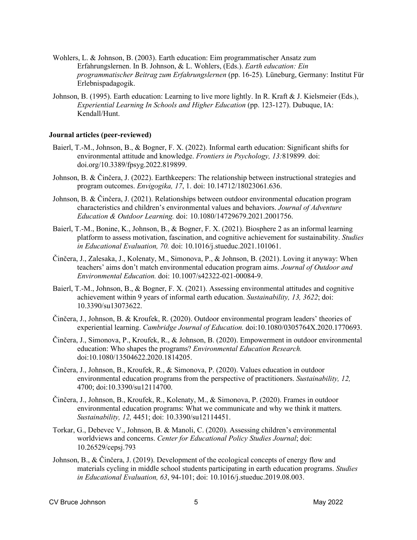- Wohlers, L. & Johnson, B. (2003). Earth education: Eim programmatischer Ansatz zum Erfahrungslernen. In B. Johnson, & L. Wohlers, (Eds.). *Earth education: Ein programmatischer Beitrag zum Erfahrungslernen* (pp. 16-25)*.* Lüneburg, Germany: Institut Für Erlebnispadagogik.
- Johnson, B. (1995). Earth education: Learning to live more lightly. In R. Kraft & J. Kielsmeier (Eds.), *Experiential Learning In Schools and Higher Education* (pp. 123-127). Dubuque, IA: Kendall/Hunt.

### **Journal articles (peer-reviewed)**

- Baierl, T.-M., Johnson, B., & Bogner, F. X. (2022). Informal earth education: Significant shifts for environmental attitude and knowledge. *Frontiers in Psychology, 13:*819899*.* doi: doi.org/10.3389/fpsyg.2022.819899.
- Johnson, B. & Činčera, J. (2022). Earthkeepers: The relationship between instructional strategies and program outcomes. *Envigogika, 17*, 1. doi: 10.14712/18023061.636.
- Johnson, B. & Činčera, J. (2021). Relationships between outdoor environmental education program characteristics and children's environmental values and behaviors. *Journal of Adventure Education & Outdoor Learning.* doi: 10.1080/14729679.2021.2001756.
- Baierl, T.-M., Bonine, K., Johnson, B., & Bogner, F. X. (2021). Biosphere 2 as an informal learning platform to assess motivation, fascination, and cognitive achievement for sustainability. *Studies in Educational Evaluation, 70.* doi: 10.1016/j.stueduc.2021.101061.
- Činčera, J., Zalesaka, J., Kolenaty, M., Simonova, P., & Johnson, B. (2021). Loving it anyway: When teachers' aims don't match environmental education program aims. *Journal of Outdoor and Environmental Education.* doi: 10.1007/s42322-021-00084-9.
- Baierl, T.-M., Johnson, B., & Bogner, F. X. (2021). Assessing environmental attitudes and cognitive achievement within 9 years of informal earth education. *Sustainability, 13, 3622*; doi: 10.3390/su13073622.
- Činčera, J., Johnson, B. & Kroufek, R. (2020). Outdoor environmental program leaders' theories of experiential learning. *Cambridge Journal of Education.* doi:10.1080/0305764X.2020.1770693.
- Činčera, J., Simonova, P., Kroufek, R., & Johnson, B. (2020). Empowerment in outdoor environmental education: Who shapes the programs? *Environmental Education Research.* doi:10.1080/13504622.2020.1814205.
- Činčera, J., Johnson, B., Kroufek, R., & Simonova, P. (2020). Values education in outdoor environmental education programs from the perspective of practitioners. *Sustainability, 12,*  4700; doi:10.3390/su12114700.
- Činčera, J., Johnson, B., Kroufek, R., Kolenaty, M., & Simonova, P. (2020). Frames in outdoor environmental education programs: What we communicate and why we think it matters. *Sustainability, 12,* 4451; doi: 10.3390/su12114451.
- Torkar, G., Debevec V., Johnson, B. & Manoli, C. (2020). Assessing children's environmental worldviews and concerns. *Center for Educational Policy Studies Journal*; doi: 10.26529/cepsj.793
- Johnson, B., & Činčera, J. (2019). Development of the ecological concepts of energy flow and materials cycling in middle school students participating in earth education programs. *Studies in Educational Evaluation, 63*, 94-101; doi: 10.1016/j.stueduc.2019.08.003.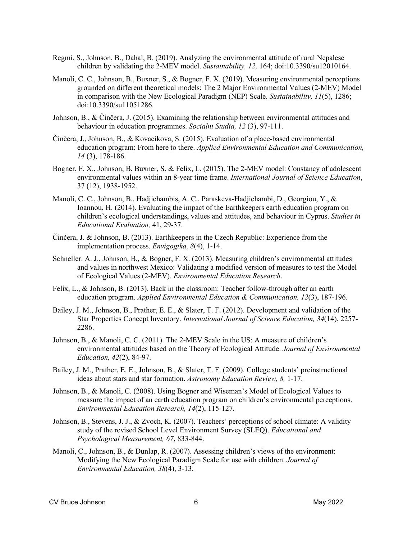- Regmi, S., Johnson, B., Dahal, B. (2019). Analyzing the environmental attitude of rural Nepalese children by validating the 2-MEV model. *Sustainability, 12,* 164; doi:10.3390/su12010164.
- Manoli, C. C., Johnson, B., Buxner, S., & Bogner, F. X. (2019). Measuring environmental perceptions grounded on different theoretical models: The 2 Major Environmental Values (2-MEV) Model in comparison with the New Ecological Paradigm (NEP) Scale. *Sustainability, 11*(5), 1286; doi:10.3390/su11051286.
- Johnson, B., & Činčera, J. (2015). Examining the relationship between environmental attitudes and behaviour in education programmes. *Socialni Studia, 12* (3), 97-111.
- Činčera, J., Johnson, B., & Kovacikova, S. (2015). Evaluation of a place-based environmental education program: From here to there. *Applied Environmental Education and Communication, 14* (3), 178-186.
- Bogner, F. X., Johnson, B, Buxner, S. & Felix, L. (2015). The 2-MEV model: Constancy of adolescent environmental values within an 8-year time frame. *International Journal of Science Education*, 37 (12), 1938-1952.
- Manoli, C. C., Johnson, B., Hadjichambis, A. C., Paraskeva-Hadjichambi, D., Georgiou, Y., & Ioannou, H. (2014). Evaluating the impact of the Earthkeepers earth education program on children's ecological understandings, values and attitudes, and behaviour in Cyprus. *Studies in Educational Evaluation,* 41, 29-37.
- Činčera, J. & Johnson, B. (2013). Earthkeepers in the Czech Republic: Experience from the implementation process. *Envigogika, 8*(4), 1-14.
- Schneller. A. J., Johnson, B., & Bogner, F. X. (2013). Measuring children's environmental attitudes and values in northwest Mexico: Validating a modified version of measures to test the Model of Ecological Values (2-MEV). *Environmental Education Research*.
- Felix, L., & Johnson, B. (2013). Back in the classroom: Teacher follow-through after an earth education program. *Applied Environmental Education & Communication, 12*(3), 187-196.
- Bailey, J. M., Johnson, B., Prather, E. E., & Slater, T. F. (2012). Development and validation of the Star Properties Concept Inventory. *International Journal of Science Education, 34*(14), 2257- 2286.
- Johnson, B., & Manoli, C. C. (2011). The 2-MEV Scale in the US: A measure of children's environmental attitudes based on the Theory of Ecological Attitude. *Journal of Environmental Education, 42*(2), 84-97.
- Bailey, J. M., Prather, E. E., Johnson, B., & Slater, T. F. (2009). College students' preinstructional ideas about stars and star formation. *Astronomy Education Review, 8,* 1-17.
- Johnson, B., & Manoli, C. (2008). Using Bogner and Wiseman's Model of Ecological Values to measure the impact of an earth education program on children's environmental perceptions. *Environmental Education Research, 14*(2), 115-127.
- Johnson, B., Stevens, J. J., & Zvoch, K. (2007). Teachers' perceptions of school climate: A validity study of the revised School Level Environment Survey (SLEQ). *Educational and Psychological Measurement, 67*, 833-844.
- Manoli, C., Johnson, B., & Dunlap, R. (2007). Assessing children's views of the environment: Modifying the New Ecological Paradigm Scale for use with children. *Journal of Environmental Education, 38*(4), 3-13.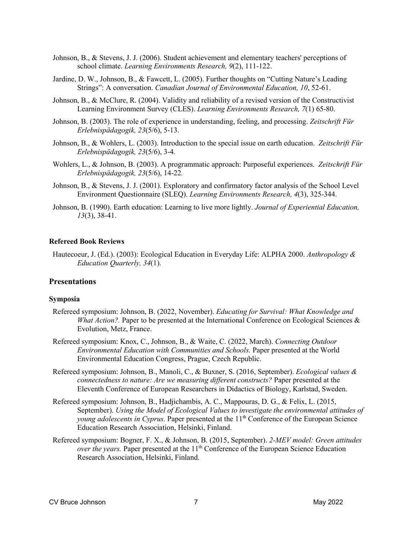- Johnson, B., & Stevens, J. J. (2006). Student achievement and elementary teachers' perceptions of school climate. *Learning Environments Research, 9*(2), 111-122.
- Jardine, D. W., Johnson, B., & Fawcett, L. (2005). Further thoughts on "Cutting Nature's Leading Strings": A conversation. *Canadian Journal of Environmental Education, 10*, 52-61.
- Johnson, B., & McClure, R. (2004). Validity and reliability of a revised version of the Constructivist Learning Environment Survey (CLES). *Learning Environments Research, 7*(1) 65-80.
- Johnson, B. (2003). The role of experience in understanding, feeling, and processing. *Zeitschrift Für Erlebnispädagogik, 23*(5/6), 5-13.
- Johnson, B., & Wohlers, L. (2003). Introduction to the special issue on earth education. *Zeitschrift Für Erlebnispädagogik, 23*(5/6), 3-4*.*
- Wohlers, L., & Johnson, B. (2003). A programmatic approach: Purposeful experiences. *Zeitschrift Für Erlebnispädagogik, 23*(5/6), 14-22*.*
- Johnson, B., & Stevens, J. J. (2001). Exploratory and confirmatory factor analysis of the School Level Environment Questionnaire (SLEQ). *Learning Environments Research, 4*(3), 325-344.
- Johnson, B. (1990). Earth education: Learning to live more lightly. *Journal of Experiential Education, 13*(3), 38-41.

### **Refereed Book Reviews**

Hautecoeur, J. (Ed.). (2003): Ecological Education in Everyday Life: ALPHA 2000. *Anthropology & Education Quarterly, 34*(1).

## **Presentations**

#### **Symposia**

- Refereed symposium: Johnson, B. (2022, November). *Educating for Survival: What Knowledge and What Action?*. Paper to be presented at the International Conference on Ecological Sciences & Evolution, Metz, France.
- Refereed symposium: Knox, C., Johnson, B., & Waite, C. (2022, March). *Connecting Outdoor Environmental Education with Communities and Schools.* Paper presented at the World Environmental Education Congress, Prague, Czech Republic.
- Refereed symposium: Johnson, B., Manoli, C., & Buxner, S. (2016, September). *Ecological values & connectedness to nature: Are we measuring different constructs?* Paper presented at the Eleventh Conference of European Researchers in Didactics of Biology, Karlstad, Sweden.
- Refereed symposium: Johnson, B., Hadjichambis, A. C., Mappouras, D. G., & Felix, L. (2015, September). *Using the Model of Ecological Values to investigate the environmental attitudes of young adolescents in Cyprus.* Paper presented at the 1<sup>th</sup> Conference of the European Science Education Research Association, Helsinki, Finland.
- Refereed symposium: Bogner, F. X., & Johnson, B. (2015, September). *2-MEV model: Green attitudes over the years.* Paper presented at the  $11<sup>th</sup>$  Conference of the European Science Education Research Association, Helsinki, Finland.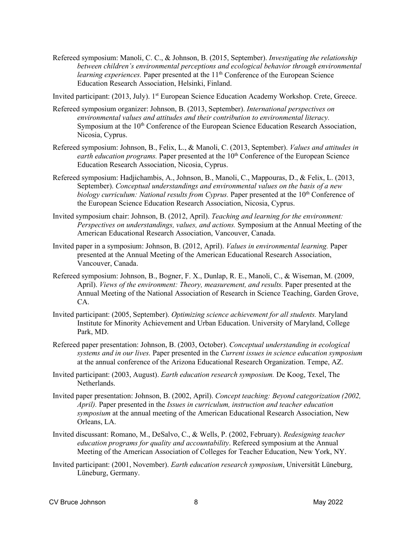Refereed symposium: Manoli, C. C., & Johnson, B. (2015, September). *Investigating the relationship between children's environmental perceptions and ecological behavior through environmental learning experiences.* Paper presented at the 11<sup>th</sup> Conference of the European Science Education Research Association, Helsinki, Finland.

Invited participant: (2013, July). 1<sup>st</sup> European Science Education Academy Workshop. Crete, Greece.

- Refereed symposium organizer: Johnson, B. (2013, September). *International perspectives on environmental values and attitudes and their contribution to environmental literacy.* Symposium at the 10<sup>th</sup> Conference of the European Science Education Research Association, Nicosia, Cyprus.
- Refereed symposium: Johnson, B., Felix, L., & Manoli, C. (2013, September). *Values and attitudes in earth education programs.* Paper presented at the 10<sup>th</sup> Conference of the European Science Education Research Association, Nicosia, Cyprus.
- Refereed symposium: Hadjichambis, A., Johnson, B., Manoli, C., Mappouras, D., & Felix, L. (2013, September). *Conceptual understandings and environmental values on the basis of a new biology curriculum: National results from Cyprus.* Paper presented at the 10<sup>th</sup> Conference of the European Science Education Research Association, Nicosia, Cyprus.
- Invited symposium chair: Johnson, B. (2012, April). *Teaching and learning for the environment: Perspectives on understandings, values, and actions.* Symposium at the Annual Meeting of the American Educational Research Association, Vancouver, Canada.
- Invited paper in a symposium: Johnson, B. (2012, April). *Values in environmental learning.* Paper presented at the Annual Meeting of the American Educational Research Association, Vancouver, Canada.
- Refereed symposium: Johnson, B., Bogner, F. X., Dunlap, R. E., Manoli, C., & Wiseman, M. (2009, April). *Views of the environment: Theory, measurement, and results.* Paper presented at the Annual Meeting of the National Association of Research in Science Teaching, Garden Grove, CA.
- Invited participant: (2005, September). *Optimizing science achievement for all students.* Maryland Institute for Minority Achievement and Urban Education. University of Maryland, College Park, MD.
- Refereed paper presentation: Johnson, B. (2003, October). *Conceptual understanding in ecological systems and in our lives.* Paper presented in the *Current issues in science education symposium* at the annual conference of the Arizona Educational Research Organization. Tempe, AZ.
- Invited participant: (2003, August). *Earth education research symposium.* De Koog, Texel, The Netherlands.
- Invited paper presentation: Johnson, B. (2002, April). *Concept teaching: Beyond categorization (2002, April).* Paper presented in the *Issues in curriculum, instruction and teacher education symposium* at the annual meeting of the American Educational Research Association, New Orleans, LA.
- Invited discussant: Romano, M., DeSalvo, C., & Wells, P. (2002, February). *Redesigning teacher education programs for quality and accountability*. Refereed symposium at the Annual Meeting of the American Association of Colleges for Teacher Education, New York, NY.
- Invited participant: (2001, November). *Earth education research symposium*, Universität Lüneburg, Lüneburg, Germany.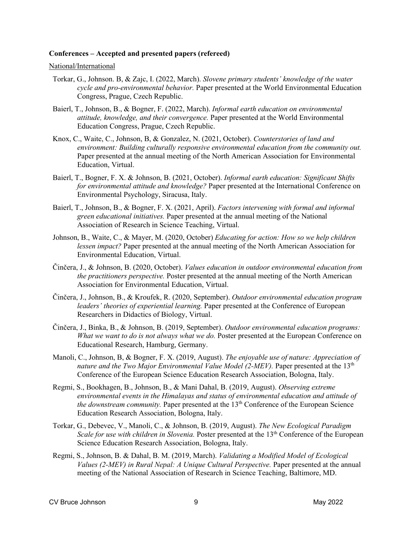### **Conferences – Accepted and presented papers (refereed)**

#### National/International

- Torkar, G., Johnson. B, & Zajc, I. (2022, March). *Slovene primary students' knowledge of the water cycle and pro-environmental behavior.* Paper presented at the World Environmental Education Congress, Prague, Czech Republic.
- Baierl, T., Johnson, B., & Bogner, F. (2022, March). *Informal earth education on environmental attitude, knowledge, and their convergence.* Paper presented at the World Environmental Education Congress, Prague, Czech Republic.
- Knox, C., Waite, C., Johnson, B, & Gonzalez, N. (2021, October). *Counterstories of land and environment: Building culturally responsive environmental education from the community out.* Paper presented at the annual meeting of the North American Association for Environmental Education, Virtual.
- Baierl, T., Bogner, F. X. & Johnson, B. (2021, October). *Informal earth education: Significant Shifts for environmental attitude and knowledge?* Paper presented at the International Conference on Environmental Psychology, Siracusa, Italy.
- Baierl, T., Johnson, B., & Bogner, F. X. (2021, April). *Factors intervening with formal and informal green educational initiatives.* Paper presented at the annual meeting of the National Association of Research in Science Teaching, Virtual.
- Johnson, B., Waite, C., & Mayer, M. (2020, October) *Educating for action: How so we help children lessen impact?* Paper presented at the annual meeting of the North American Association for Environmental Education, Virtual.
- Činčera, J., & Johnson, B. (2020, October). *Values education in outdoor environmental education from the practitioners perspective.* Poster presented at the annual meeting of the North American Association for Environmental Education, Virtual.
- Činčera, J., Johnson, B., & Kroufek, R. (2020, September). *Outdoor environmental education program leaders' theories of experiential learning.* Paper presented at the Conference of European Researchers in Didactics of Biology, Virtual.
- Činčera, J., Binka, B., & Johnson, B. (2019, September). *Outdoor environmental education programs: What we want to do is not always what we do.* Poster presented at the European Conference on Educational Research, Hamburg, Germany.
- Manoli, C., Johnson, B, & Bogner, F. X. (2019, August). *The enjoyable use of nature: Appreciation of nature and the Two Major Environmental Value Model (2-MEV)*. Paper presented at the 13<sup>th</sup> Conference of the European Science Education Research Association, Bologna, Italy.
- Regmi, S., Bookhagen, B., Johnson, B., & Mani Dahal, B. (2019, August). *Observing extreme environmental events in the Himalayas and status of environmental education and attitude of the downstream community.* Paper presented at the 13<sup>th</sup> Conference of the European Science Education Research Association, Bologna, Italy.
- Torkar, G., Debevec, V., Manoli, C., & Johnson, B. (2019, August). *The New Ecological Paradigm Scale for use with children in Slovenia.* Poster presented at the 13<sup>th</sup> Conference of the European Science Education Research Association, Bologna, Italy.
- Regmi, S., Johnson, B. & Dahal, B. M. (2019, March). *Validating a Modified Model of Ecological Values (2-MEV) in Rural Nepal: A Unique Cultural Perspective.* Paper presented at the annual meeting of the National Association of Research in Science Teaching, Baltimore, MD.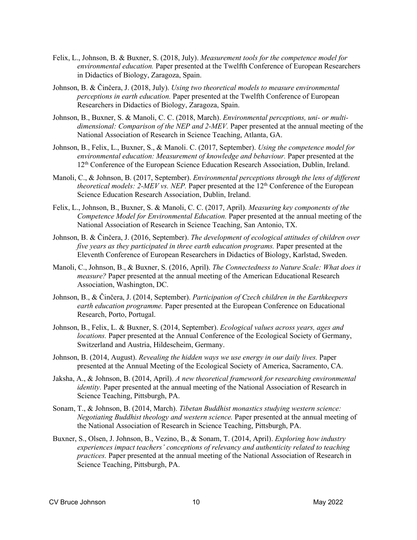- Felix, L., Johnson, B. & Buxner, S. (2018, July). *Measurement tools for the competence model for environmental education.* Paper presented at the Twelfth Conference of European Researchers in Didactics of Biology, Zaragoza, Spain.
- Johnson, B. & Činčera, J. (2018, July). *Using two theoretical models to measure environmental perceptions in earth education.* Paper presented at the Twelfth Conference of European Researchers in Didactics of Biology, Zaragoza, Spain.
- Johnson, B., Buxner, S. & Manoli, C. C. (2018, March). *Environmental perceptions, uni- or multidimensional: Comparison of the NEP and 2-MEV.* Paper presented at the annual meeting of the National Association of Research in Science Teaching, Atlanta, GA.
- Johnson, B., Felix, L., Buxner, S., & Manoli. C. (2017, September). *Using the competence model for environmental education: Measurement of knowledge and behaviour.* Paper presented at the 12th Conference of the European Science Education Research Association, Dublin, Ireland.
- Manoli, C., & Johnson, B. (2017, September). *Environmental perceptions through the lens of different theoretical models: 2-MEV vs. NEP.* Paper presented at the 12<sup>th</sup> Conference of the European Science Education Research Association, Dublin, Ireland.
- Felix, L., Johnson, B., Buxner, S. & Manoli, C. C. (2017, April). *Measuring key components of the Competence Model for Environmental Education.* Paper presented at the annual meeting of the National Association of Research in Science Teaching, San Antonio, TX.
- Johnson, B. & Činčera, J. (2016, September). *The development of ecological attitudes of children over five years as they participated in three earth education programs.* Paper presented at the Eleventh Conference of European Researchers in Didactics of Biology, Karlstad, Sweden.
- Manoli, C., Johnson, B., & Buxner, S. (2016, April). *The Connectedness to Nature Scale: What does it measure?* Paper presented at the annual meeting of the American Educational Research Association, Washington, DC.
- Johnson, B., & Činčera, J. (2014, September). *Participation of Czech children in the Earthkeepers earth education programme.* Paper presented at the European Conference on Educational Research, Porto, Portugal.
- Johnson, B., Felix, L. & Buxner, S. (2014, September). *Ecological values across years, ages and locations.* Paper presented at the Annual Conference of the Ecological Society of Germany, Switzerland and Austria, Hildescheim, Germany.
- Johnson, B. (2014, August). *Revealing the hidden ways we use energy in our daily lives.* Paper presented at the Annual Meeting of the Ecological Society of America, Sacramento, CA.
- Jaksha, A., & Johnson, B. (2014, April). *A new theoretical framework for researching environmental identity.* Paper presented at the annual meeting of the National Association of Research in Science Teaching, Pittsburgh, PA.
- Sonam, T., & Johnson, B. (2014, March). *Tibetan Buddhist monastics studying western science: Negotiating Buddhist theology and western science.* Paper presented at the annual meeting of the National Association of Research in Science Teaching, Pittsburgh, PA.
- Buxner, S., Olsen, J. Johnson, B., Vezino, B., & Sonam, T. (2014, April). *Exploring how industry experiences impact teachers' conceptions of relevancy and authenticity related to teaching practices.* Paper presented at the annual meeting of the National Association of Research in Science Teaching, Pittsburgh, PA.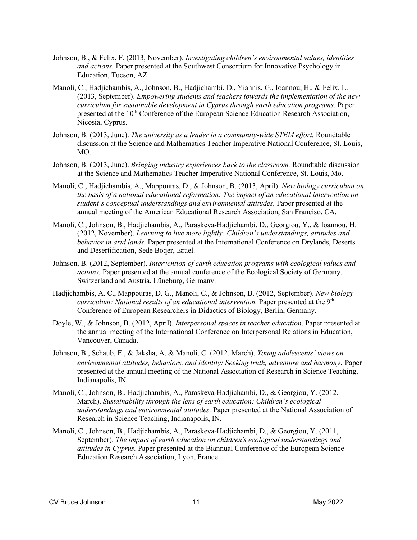- Johnson, B., & Felix, F. (2013, November). *Investigating children's environmental values, identities and actions.* Paper presented at the Southwest Consortium for Innovative Psychology in Education, Tucson, AZ.
- Manoli, C., Hadjichambis, A., Johnson, B., Hadjichambi, D., Yiannis, G., Ioannou, H., & Felix, L. (2013, September). *Empowering students and teachers towards the implementation of the new curriculum for sustainable development in Cyprus through earth education programs.* Paper presented at the 10th Conference of the European Science Education Research Association, Nicosia, Cyprus.
- Johnson, B. (2013, June). *The university as a leader in a community-wide STEM effort.* Roundtable discussion at the Science and Mathematics Teacher Imperative National Conference, St. Louis, MO.
- Johnson, B. (2013, June). *Bringing industry experiences back to the classroom.* Roundtable discussion at the Science and Mathematics Teacher Imperative National Conference, St. Louis, Mo.
- Manoli, C., Hadjichambis, A., Mappouras, D., & Johnson, B. (2013, April). *New biology curriculum on the basis of a national educational reformation: The impact of an educational intervention on student's conceptual understandings and environmental attitudes.* Paper presented at the annual meeting of the American Educational Research Association, San Franciso, CA.
- Manoli, C., Johnson, B., Hadjichambis, A., Paraskeva-Hadjichambi, D., Georgiou, Y., & Ioannou, H. (2012, November). *Learning to live more lightly: Children's understandings, attitudes and behavior in arid lands.* Paper presented at the International Conference on Drylands, Deserts and Desertification, Sede Boqer, Israel.
- Johnson, B. (2012, September). *Intervention of earth education programs with ecological values and actions.* Paper presented at the annual conference of the Ecological Society of Germany, Switzerland and Austria, Lüneburg, Germany.
- Hadjichambis, A. C., Mappouras, D. G., Manoli, C., & Johnson, B. (2012, September). *New biology curriculum: National results of an educational intervention.* Paper presented at the 9<sup>th</sup> Conference of European Researchers in Didactics of Biology, Berlin, Germany.
- Doyle, W., & Johnson, B. (2012, April). *Interpersonal spaces in teacher education*. Paper presented at the annual meeting of the International Conference on Interpersonal Relations in Education, Vancouver, Canada.
- Johnson, B., Schaub, E., & Jaksha, A, & Manoli, C. (2012, March). *Young adolescents' views on environmental attitudes, behaviors, and identity: Seeking truth, adventure and harmony*. Paper presented at the annual meeting of the National Association of Research in Science Teaching, Indianapolis, IN.
- Manoli, C., Johnson, B., Hadjichambis, A., Paraskeva-Hadjichambi, D., & Georgiou, Y. (2012, March). *Sustainability through the lens of earth education: Children's ecological understandings and environmental attitudes.* Paper presented at the National Association of Research in Science Teaching, Indianapolis, IN.
- Manoli, C., Johnson, B., Hadjichambis, A., Paraskeva-Hadjichambi, D., & Georgiou, Y. (2011, September). *The impact of earth education on children's ecological understandings and attitudes in Cyprus.* Paper presented at the Biannual Conference of the European Science Education Research Association, Lyon, France.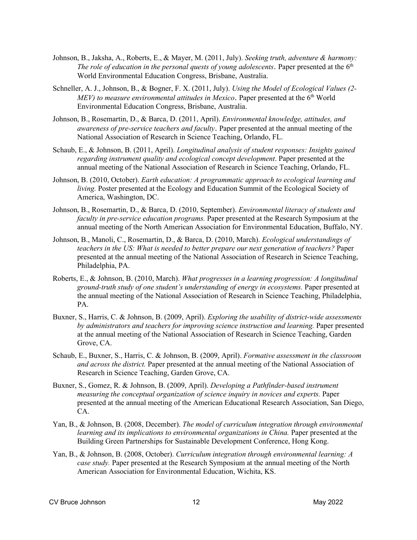- Johnson, B., Jaksha, A., Roberts, E., & Mayer, M. (2011, July). *Seeking truth, adventure & harmony: The role of education in the personal quests of young adolescents.* Paper presented at the  $6<sup>th</sup>$ World Environmental Education Congress, Brisbane, Australia.
- Schneller, A. J., Johnson, B., & Bogner, F. X. (2011, July). *Using the Model of Ecological Values (2- MEV) to measure environmental attitudes in Mexico*. Paper presented at the 6<sup>th</sup> World Environmental Education Congress, Brisbane, Australia.
- Johnson, B., Rosemartin, D., & Barca, D. (2011, April). *Environmental knowledge, attitudes, and awareness of pre-service teachers and faculty*. Paper presented at the annual meeting of the National Association of Research in Science Teaching, Orlando, FL.
- Schaub, E., & Johnson, B. (2011, April). *Longitudinal analysis of student responses: Insights gained regarding instrument quality and ecological concept development*. Paper presented at the annual meeting of the National Association of Research in Science Teaching, Orlando, FL.
- Johnson, B. (2010, October). *Earth education: A programmatic approach to ecological learning and living.* Poster presented at the Ecology and Education Summit of the Ecological Society of America, Washington, DC.
- Johnson, B., Rosemartin, D., & Barca, D. (2010, September). *Environmental literacy of students and faculty in pre-service education programs.* Paper presented at the Research Symposium at the annual meeting of the North American Association for Environmental Education, Buffalo, NY.
- Johnson, B., Manoli, C., Rosemartin, D., & Barca, D. (2010, March). *Ecological understandings of teachers in the US: What is needed to better prepare our next generation of teachers?* Paper presented at the annual meeting of the National Association of Research in Science Teaching, Philadelphia, PA.
- Roberts, E., & Johnson, B. (2010, March). *What progresses in a learning progression: A longitudinal ground-truth study of one student's understanding of energy in ecosystems.* Paper presented at the annual meeting of the National Association of Research in Science Teaching, Philadelphia, PA.
- Buxner, S., Harris, C. & Johnson, B. (2009, April). *Exploring the usability of district-wide assessments by administrators and teachers for improving science instruction and learning.* Paper presented at the annual meeting of the National Association of Research in Science Teaching, Garden Grove, CA.
- Schaub, E., Buxner, S., Harris, C. & Johnson, B. (2009, April). *Formative assessment in the classroom and across the district.* Paper presented at the annual meeting of the National Association of Research in Science Teaching, Garden Grove, CA.
- Buxner, S., Gomez, R. & Johnson, B. (2009, April). *Developing a Pathfinder-based instrument measuring the conceptual organization of science inquiry in novices and experts.* Paper presented at the annual meeting of the American Educational Research Association, San Diego, CA.
- Yan, B., & Johnson, B. (2008, December). *The model of curriculum integration through environmental learning and its implications to environmental organizations in China.* Paper presented at the Building Green Partnerships for Sustainable Development Conference, Hong Kong.
- Yan, B., & Johnson, B. (2008, October). *Curriculum integration through environmental learning: A case study.* Paper presented at the Research Symposium at the annual meeting of the North American Association for Environmental Education, Wichita, KS.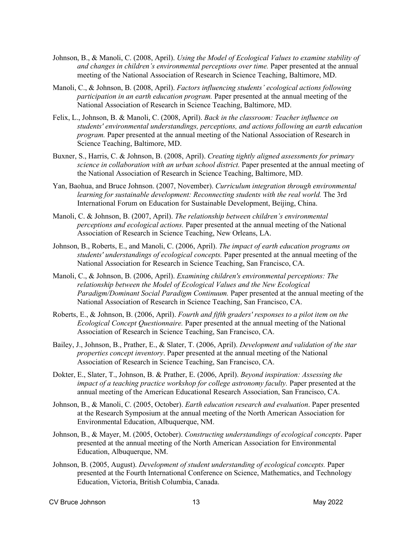- Johnson, B., & Manoli, C. (2008, April). *Using the Model of Ecological Values to examine stability of and changes in children's environmental perceptions over time.* Paper presented at the annual meeting of the National Association of Research in Science Teaching, Baltimore, MD.
- Manoli, C., & Johnson, B. (2008, April). *Factors influencing students' ecological actions following participation in an earth education program.* Paper presented at the annual meeting of the National Association of Research in Science Teaching, Baltimore, MD.
- Felix, L., Johnson, B. & Manoli, C. (2008, April). *Back in the classroom: Teacher influence on students' environmental understandings, perceptions, and actions following an earth education program.* Paper presented at the annual meeting of the National Association of Research in Science Teaching, Baltimore, MD.
- Buxner, S., Harris, C. & Johnson, B. (2008, April). *Creating tightly aligned assessments for primary science in collaboration with an urban school district.* Paper presented at the annual meeting of the National Association of Research in Science Teaching, Baltimore, MD.
- Yan, Baohua, and Bruce Johnson. (2007, November). *Curriculum integration through environmental learning for sustainable development: Reconnecting students with the real world.* The 3rd International Forum on Education for Sustainable Development, Beijing, China.
- Manoli, C. & Johnson, B. (2007, April). *The relationship between children's environmental perceptions and ecological actions.* Paper presented at the annual meeting of the National Association of Research in Science Teaching, New Orleans, LA.
- Johnson, B., Roberts, E., and Manoli, C. (2006, April). *The impact of earth education programs on students' understandings of ecological concepts.* Paper presented at the annual meeting of the National Association for Research in Science Teaching, San Francisco, CA.
- Manoli, C., & Johnson, B. (2006, April). *Examining children's environmental perceptions: The relationship between the Model of Ecological Values and the New Ecological Paradigm/Dominant Social Paradigm Continuum.* Paper presented at the annual meeting of the National Association of Research in Science Teaching, San Francisco, CA.
- Roberts, E., & Johnson, B. (2006, April). *Fourth and fifth graders' responses to a pilot item on the Ecological Concept Questionnaire.* Paper presented at the annual meeting of the National Association of Research in Science Teaching, San Francisco, CA.
- Bailey, J., Johnson, B., Prather, E., & Slater, T. (2006, April). *Development and validation of the star properties concept inventory*. Paper presented at the annual meeting of the National Association of Research in Science Teaching, San Francisco, CA.
- Dokter, E., Slater, T., Johnson, B. & Prather, E. (2006, April). *Beyond inspiration: Assessing the impact of a teaching practice workshop for college astronomy faculty.* Paper presented at the annual meeting of the American Educational Research Association, San Francisco, CA.
- Johnson, B., & Manoli, C. (2005, October). *Earth education research and evaluation*. Paper presented at the Research Symposium at the annual meeting of the North American Association for Environmental Education, Albuquerque, NM.
- Johnson, B., & Mayer, M. (2005, October). *Constructing understandings of ecological concepts*. Paper presented at the annual meeting of the North American Association for Environmental Education, Albuquerque, NM.
- Johnson, B. (2005, August). *Development of student understanding of ecological concepts.* Paper presented at the Fourth International Conference on Science, Mathematics, and Technology Education, Victoria, British Columbia, Canada.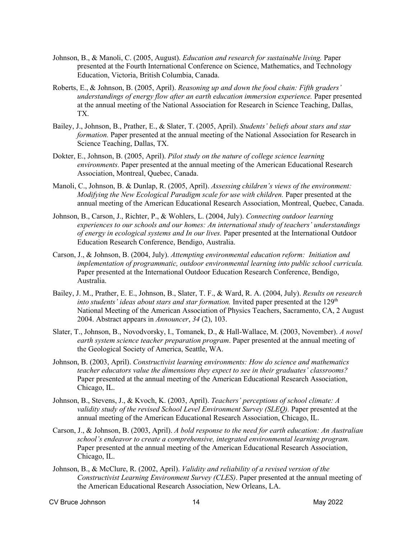- Johnson, B., & Manoli, C. (2005, August). *Education and research for sustainable living.* Paper presented at the Fourth International Conference on Science, Mathematics, and Technology Education, Victoria, British Columbia, Canada.
- Roberts, E., & Johnson, B. (2005, April). *Reasoning up and down the food chain: Fifth graders' understandings of energy flow after an earth education immersion experience.* Paper presented at the annual meeting of the National Association for Research in Science Teaching, Dallas, TX.
- Bailey, J., Johnson, B., Prather, E., & Slater, T. (2005, April). *Students' beliefs about stars and star formation.* Paper presented at the annual meeting of the National Association for Research in Science Teaching, Dallas, TX.
- Dokter, E., Johnson, B. (2005, April). *Pilot study on the nature of college science learning environments.* Paper presented at the annual meeting of the American Educational Research Association, Montreal, Quebec, Canada.
- Manoli, C., Johnson, B. & Dunlap, R. (2005, April). *Assessing children's views of the environment: Modifying the New Ecological Paradigm scale for use with children.* Paper presented at the annual meeting of the American Educational Research Association, Montreal, Quebec, Canada.
- Johnson, B., Carson, J., Richter, P., & Wohlers, L. (2004, July). *Connecting outdoor learning experiences to our schools and our homes: An international study of teachers' understandings of energy in ecological systems and In our lives.* Paper presented at the International Outdoor Education Research Conference, Bendigo, Australia.
- Carson, J., & Johnson, B. (2004, July). *Attempting environmental education reform: Initiation and implementation of programmatic, outdoor environmental learning into public school curricula.* Paper presented at the International Outdoor Education Research Conference, Bendigo, Australia.
- Bailey, J. M., Prather, E. E., Johnson, B., Slater, T. F., & Ward, R. A. (2004, July). *Results on research into students' ideas about stars and star formation.* Invited paper presented at the 129<sup>th</sup> National Meeting of the American Association of Physics Teachers, Sacramento, CA, 2 August 2004. Abstract appears in *Announcer*, *34* (2), 103.
- Slater, T., Johnson, B., Novodvorsky, I., Tomanek, D., & Hall-Wallace, M. (2003, November). *A novel earth system science teacher preparation program*. Paper presented at the annual meeting of the Geological Society of America, Seattle, WA.
- Johnson, B. (2003, April). *Constructivist learning environments: How do science and mathematics teacher educators value the dimensions they expect to see in their graduates' classrooms?* Paper presented at the annual meeting of the American Educational Research Association, Chicago, IL.
- Johnson, B., Stevens, J., & Kvoch, K. (2003, April). *Teachers' perceptions of school climate: A validity study of the revised School Level Environment Survey (SLEO).* Paper presented at the annual meeting of the American Educational Research Association, Chicago, IL.
- Carson, J., & Johnson, B. (2003, April). *A bold response to the need for earth education: An Australian school's endeavor to create a comprehensive, integrated environmental learning program.*  Paper presented at the annual meeting of the American Educational Research Association, Chicago, IL.
- Johnson, B., & McClure, R. (2002, April). *Validity and reliability of a revised version of the Constructivist Learning Environment Survey (CLES)*. Paper presented at the annual meeting of the American Educational Research Association, New Orleans, LA.

CV Bruce Johnson 14 May 2022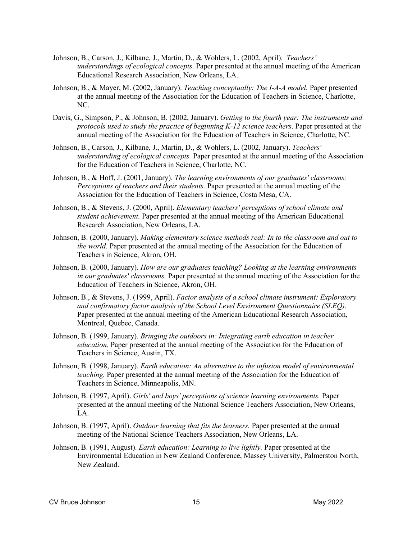- Johnson, B., Carson, J., Kilbane, J., Martin, D., & Wohlers, L. (2002, April). *Teachers' understandings of ecological concepts.* Paper presented at the annual meeting of the American Educational Research Association, New Orleans, LA.
- Johnson, B., & Mayer, M. (2002, January). *Teaching conceptually: The I-A-A model.* Paper presented at the annual meeting of the Association for the Education of Teachers in Science, Charlotte, NC.
- Davis, G., Simpson, P., & Johnson, B. (2002, January). *Getting to the fourth year: The instruments and protocols used to study the practice of beginning K-12 science teachers*. Paper presented at the annual meeting of the Association for the Education of Teachers in Science, Charlotte, NC.
- Johnson, B., Carson, J., Kilbane, J., Martin, D., & Wohlers, L. (2002, January). *Teachers' understanding of ecological concepts.* Paper presented at the annual meeting of the Association for the Education of Teachers in Science, Charlotte, NC.
- Johnson, B., & Hoff, J. (2001, January). *The learning environments of our graduates' classrooms: Perceptions of teachers and their students.* Paper presented at the annual meeting of the Association for the Education of Teachers in Science, Costa Mesa, CA.
- Johnson, B., & Stevens, J. (2000, April). *Elementary teachers' perceptions of school climate and student achievement.* Paper presented at the annual meeting of the American Educational Research Association, New Orleans, LA.
- Johnson, B. (2000, January). *Making elementary science methods real: In to the classroom and out to the world.* Paper presented at the annual meeting of the Association for the Education of Teachers in Science, Akron, OH.
- Johnson, B. (2000, January). *How are our graduates teaching? Looking at the learning environments in our graduates' classrooms.* Paper presented at the annual meeting of the Association for the Education of Teachers in Science, Akron, OH.
- Johnson, B., & Stevens, J. (1999, April). *Factor analysis of a school climate instrument: Exploratory and confirmatory factor analysis of the School Level Environment Questionnaire (SLEQ).* Paper presented at the annual meeting of the American Educational Research Association, Montreal, Quebec, Canada.
- Johnson, B. (1999, January). *Bringing the outdoors in: Integrating earth education in teacher education.* Paper presented at the annual meeting of the Association for the Education of Teachers in Science, Austin, TX.
- Johnson, B. (1998, January). *Earth education: An alternative to the infusion model of environmental teaching.* Paper presented at the annual meeting of the Association for the Education of Teachers in Science, Minneapolis, MN.
- Johnson, B. (1997, April). *Girls' and boys' perceptions of science learning environments.* Paper presented at the annual meeting of the National Science Teachers Association, New Orleans, LA.
- Johnson, B. (1997, April). *Outdoor learning that fits the learners.* Paper presented at the annual meeting of the National Science Teachers Association, New Orleans, LA.
- Johnson, B. (1991, August). *Earth education: Learning to live lightly.* Paper presented at the Environmental Education in New Zealand Conference, Massey University, Palmerston North, New Zealand.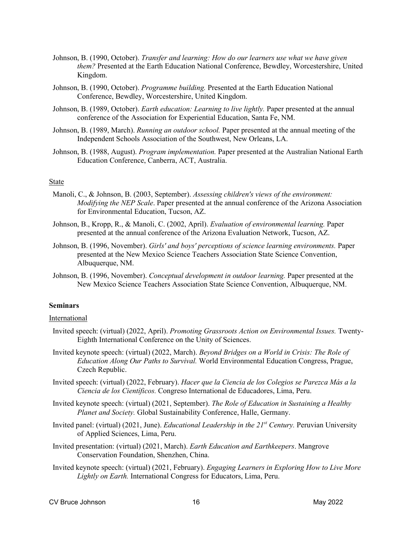- Johnson, B. (1990, October). *Transfer and learning: How do our learners use what we have given them?* Presented at the Earth Education National Conference, Bewdley, Worcestershire, United Kingdom.
- Johnson, B. (1990, October). *Programme building.* Presented at the Earth Education National Conference, Bewdley, Worcestershire, United Kingdom.
- Johnson, B. (1989, October). *Earth education: Learning to live lightly.* Paper presented at the annual conference of the Association for Experiential Education, Santa Fe, NM.
- Johnson, B. (1989, March). *Running an outdoor school.* Paper presented at the annual meeting of the Independent Schools Association of the Southwest, New Orleans, LA.
- Johnson, B. (1988, August). *Program implementation.* Paper presented at the Australian National Earth Education Conference, Canberra, ACT, Australia.

### State

- Manoli, C., & Johnson, B. (2003, September). *Assessing children's views of the environment: Modifying the NEP Scale*. Paper presented at the annual conference of the Arizona Association for Environmental Education, Tucson, AZ.
- Johnson, B., Kropp, R., & Manoli, C. (2002, April). *Evaluation of environmental learning.* Paper presented at the annual conference of the Arizona Evaluation Network, Tucson, AZ.
- Johnson, B. (1996, November). *Girls' and boys' perceptions of science learning environments.* Paper presented at the New Mexico Science Teachers Association State Science Convention, Albuquerque, NM.
- Johnson, B. (1996, November). *Conceptual development in outdoor learning.* Paper presented at the New Mexico Science Teachers Association State Science Convention, Albuquerque, NM.

## **Seminars**

#### International

- Invited speech: (virtual) (2022, April). *Promoting Grassroots Action on Environmental Issues.* Twenty-Eighth International Conference on the Unity of Sciences.
- Invited keynote speech: (virtual) (2022, March). *Beyond Bridges on a World in Crisis: The Role of Education Along Our Paths to Survival.* World Environmental Education Congress, Prague, Czech Republic.
- Invited speech: (virtual) (2022, February). *Hacer que la Ciencia de los Colegios se Parezca Más a la Ciencia de los Científicos.* Congreso International de Educadores, Lima, Peru.
- Invited keynote speech: (virtual) (2021, September). *The Role of Education in Sustaining a Healthy Planet and Society.* Global Sustainability Conference, Halle, Germany.
- Invited panel: (virtual) (2021, June). *Educational Leadership in the 21st Century.* Peruvian University of Applied Sciences, Lima, Peru.
- Invited presentation: (virtual) (2021, March). *Earth Education and Earthkeepers*. Mangrove Conservation Foundation, Shenzhen, China.
- Invited keynote speech: (virtual) (2021, February). *Engaging Learners in Exploring How to Live More Lightly on Earth.* International Congress for Educators, Lima, Peru.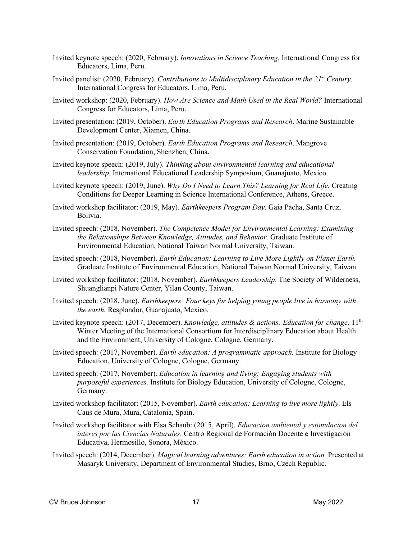- Invited keynote speech: (2020, February). *Innovations in Science Teaching.* International Congress for Educators, Lima, Peru.
- Invited panelist: (2020, February). *Contributions to Multidisciplinary Education in the 21st Century.* International Congress for Educators, Lima, Peru.
- Invited workshop: (2020, February). *How Are Science and Math Used in the Real World?* International Congress for Educators, Lima, Peru.
- Invited presentation: (2019, October). *Earth Education Programs and Research*. Marine Sustainable Development Center, Xiamen, China.
- Invited presentation: (2019, October). *Earth Education Programs and Research*. Mangrove Conservation Foundation, Shenzhen, China.
- Invited keynote speech: (2019, July). *Thinking about environmental learning and educational leadership.* International Educational Leadership Symposium, Guanajuato, Mexico.
- Invited keynote speech: (2019, June). *Why Do I Need to Learn This? Learning for Real Life.* Creating Conditions for Deeper Learning in Science International Conference, Athens, Greece.
- Invited workshop facilitator: (2019, May). *Earthkeepers Program Day*. Gaia Pacha, Santa Cruz, Bolivia.
- Invited speech: (2018, November). *The Competence Model for Environmental Learning: Examining the Relationships Between Knowledge, Attitudes, and Behavior.* Graduate Institute of Environmental Education, National Taiwan Normal University, Taiwan.
- Invited speech: (2018, November). *Earth Education: Learning to Live More Lightly on Planet Earth.*  Graduate Institute of Environmental Education, National Taiwan Normal University, Taiwan.
- Invited workshop facilitator: (2018, November). *Earthkeepers Leadership*. The Society of Wilderness, Shuanglianpi Nature Center, Yilan County, Taiwan.
- Invited speech: (2018, June). *Earthkeepers: Four keys for helping young people live in harmony with the earth.* Resplandor, Guanajuato, Mexico.
- Invited keynote speech: (2017, December). *Knowledge, attitudes & actions: Education for change*. 11<sup>th</sup> Winter Meeting of the International Consortium for Interdisciplinary Education about Health and the Environment, University of Cologne, Cologne, Germany.
- Invited speech: (2017, November). *Earth education: A programmatic approach.* Institute for Biology Education, University of Cologne, Cologne, Germany.
- Invited speech: (2017, November). *Education in learning and living: Engaging students with purposeful experiences.* Institute for Biology Education, University of Cologne, Cologne, Germany.
- Invited workshop facilitator: (2015, November). *Earth education: Learning to live more lightly*. Els Caus de Mura, Mura, Catalonia, Spain.
- Invited workshop facilitator with Elsa Schaub: (2015, April). *Educacion ambiental y estimulacion del interes por las Ciencias Naturales*. Centro Regional de Formación Docente e Investigación Educativa, Hermosillo, Sonora, México.
- Invited speech: (2014, December). *Magical learning adventures: Earth education in action.* Presented at Masaryk University, Department of Environmental Studies, Brno, Czech Republic.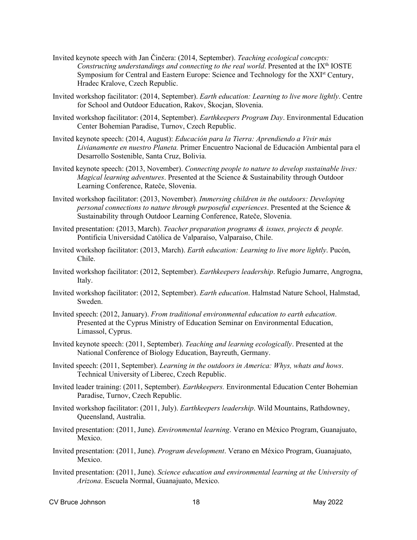- Invited keynote speech with Jan Činčera: (2014, September). *Teaching ecological concepts: Constructing understandings and connecting to the real world.* Presented at the IX<sup>th</sup> IOSTE Symposium for Central and Eastern Europe: Science and Technology for the XXI<sup>st</sup> Century, Hradec Kralove, Czech Republic.
- Invited workshop facilitator: (2014, September). *Earth education: Learning to live more lightly*. Centre for School and Outdoor Education, Rakov, Škocjan, Slovenia.
- Invited workshop facilitator: (2014, September). *Earthkeepers Program Day*. Environmental Education Center Bohemian Paradise, Turnov, Czech Republic.
- Invited keynote speech: (2014, August): *Educación para la Tierra: Aprendiendo a Vivir más Livianamente en nuestro Planeta.* Primer Encuentro Nacional de Educación Ambiental para el Desarrollo Sostenible, Santa Cruz, Bolivia.
- Invited keynote speech: (2013, November). *Connecting people to nature to develop sustainable lives: Magical learning adventures*. Presented at the Science & Sustainability through Outdoor Learning Conference, Rateče, Slovenia.
- Invited workshop facilitator: (2013, November). *Immersing children in the outdoors: Developing personal connections to nature through purposeful experiences*. Presented at the Science & Sustainability through Outdoor Learning Conference, Rateče, Slovenia.
- Invited presentation: (2013, March). *Teacher preparation programs & issues, projects & people.* Pontificia Universidad Católica de Valparaíso, Valparaíso, Chile.
- Invited workshop facilitator: (2013, March). *Earth education: Learning to live more lightly*. Pucón, Chile.
- Invited workshop facilitator: (2012, September). *Earthkeepers leadership*. Refugio Jumarre, Angrogna, Italy.
- Invited workshop facilitator: (2012, September). *Earth education*. Halmstad Nature School, Halmstad, Sweden.
- Invited speech: (2012, January). *From traditional environmental education to earth education*. Presented at the Cyprus Ministry of Education Seminar on Environmental Education, Limassol, Cyprus.
- Invited keynote speech: (2011, September). *Teaching and learning ecologically*. Presented at the National Conference of Biology Education, Bayreuth, Germany.
- Invited speech: (2011, September). *Learning in the outdoors in America: Whys, whats and hows*. Technical University of Liberec, Czech Republic.
- Invited leader training: (2011, September). *Earthkeepers.* Environmental Education Center Bohemian Paradise, Turnov, Czech Republic.
- Invited workshop facilitator: (2011, July). *Earthkeepers leadership*. Wild Mountains, Rathdowney, Queensland, Australia.
- Invited presentation: (2011, June). *Environmental learning*. Verano en México Program, Guanajuato, Mexico.
- Invited presentation: (2011, June). *Program development*. Verano en México Program, Guanajuato, Mexico.
- Invited presentation: (2011, June). *Science education and environmental learning at the University of Arizona*. Escuela Normal, Guanajuato, Mexico.
- CV Bruce Johnson 2022 **18** May 2022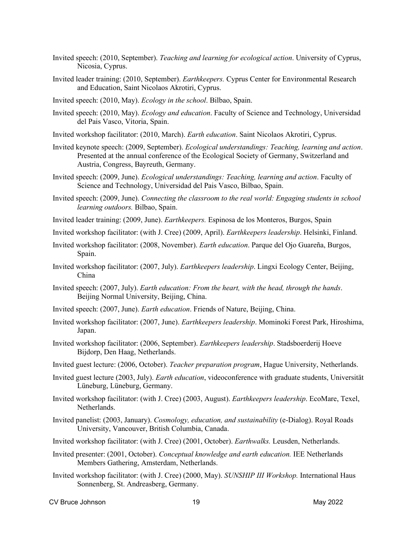- Invited speech: (2010, September). *Teaching and learning for ecological action*. University of Cyprus, Nicosia, Cyprus.
- Invited leader training: (2010, September). *Earthkeepers.* Cyprus Center for Environmental Research and Education, Saint Nicolaos Akrotiri, Cyprus.
- Invited speech: (2010, May). *Ecology in the school*. Bilbao, Spain.
- Invited speech: (2010, May). *Ecology and education*. Faculty of Science and Technology, Universidad del Pais Vasco, Vitoria, Spain.
- Invited workshop facilitator: (2010, March). *Earth education*. Saint Nicolaos Akrotiri, Cyprus.
- Invited keynote speech: (2009, September). *Ecological understandings: Teaching, learning and action*. Presented at the annual conference of the Ecological Society of Germany, Switzerland and Austria, Congress, Bayreuth, Germany.
- Invited speech: (2009, June). *Ecological understandings: Teaching, learning and action*. Faculty of Science and Technology, Universidad del Pais Vasco, Bilbao, Spain.
- Invited speech: (2009, June). *Connecting the classroom to the real world: Engaging students in school learning outdoors.* Bilbao, Spain.
- Invited leader training: (2009, June). *Earthkeepers.* Espinosa de los Monteros, Burgos, Spain
- Invited workshop facilitator: (with J. Cree) (2009, April). *Earthkeepers leadership*. Helsinki, Finland.
- Invited workshop facilitator: (2008, November). *Earth education*. Parque del Ojo Guareña, Burgos, Spain.
- Invited workshop facilitator: (2007, July). *Earthkeepers leadership*. Lingxi Ecology Center, Beijing, China
- Invited speech: (2007, July). *Earth education: From the heart, with the head, through the hands*. Beijing Normal University, Beijing, China.
- Invited speech: (2007, June). *Earth education*. Friends of Nature, Beijing, China.
- Invited workshop facilitator: (2007, June). *Earthkeepers leadership*. Mominoki Forest Park, Hiroshima, Japan.
- Invited workshop facilitator: (2006, September). *Earthkeepers leadership*. Stadsboerderij Hoeve Bijdorp, Den Haag, Netherlands.
- Invited guest lecture: (2006, October). *Teacher preparation program*, Hague University, Netherlands.
- Invited guest lecture (2003, July). *Earth education*, videoconference with graduate students, Universität Lüneburg, Lüneburg, Germany.
- Invited workshop facilitator: (with J. Cree) (2003, August). *Earthkeepers leadership*. EcoMare, Texel, Netherlands.
- Invited panelist: (2003, January). *Cosmology, education, and sustainability* (e-Dialog). Royal Roads University, Vancouver, British Columbia, Canada.
- Invited workshop facilitator: (with J. Cree) (2001, October). *Earthwalks.* Leusden, Netherlands.
- Invited presenter: (2001, October). *Conceptual knowledge and earth education.* IEE Netherlands Members Gathering, Amsterdam, Netherlands.
- Invited workshop facilitator: (with J. Cree) (2000, May). *SUNSHIP III Workshop.* International Haus Sonnenberg, St. Andreasberg, Germany.

CV Bruce Johnson 19 May 2022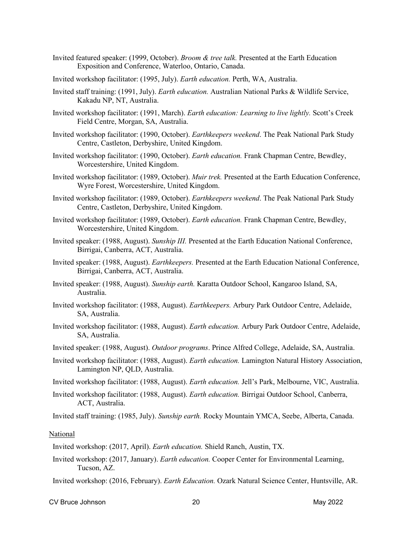- Invited featured speaker: (1999, October). *Broom & tree talk.* Presented at the Earth Education Exposition and Conference, Waterloo, Ontario, Canada.
- Invited workshop facilitator: (1995, July). *Earth education.* Perth, WA, Australia.
- Invited staff training: (1991, July). *Earth education.* Australian National Parks & Wildlife Service, Kakadu NP, NT, Australia.
- Invited workshop facilitator: (1991, March). *Earth education: Learning to live lightly.* Scott's Creek Field Centre, Morgan, SA, Australia.
- Invited workshop facilitator: (1990, October). *Earthkeepers weekend*. The Peak National Park Study Centre, Castleton, Derbyshire, United Kingdom.
- Invited workshop facilitator: (1990, October). *Earth education.* Frank Chapman Centre, Bewdley, Worcestershire, United Kingdom.
- Invited workshop facilitator: (1989, October). *Muir trek.* Presented at the Earth Education Conference, Wyre Forest, Worcestershire, United Kingdom.
- Invited workshop facilitator: (1989, October). *Earthkeepers weekend*. The Peak National Park Study Centre, Castleton, Derbyshire, United Kingdom.
- Invited workshop facilitator: (1989, October). *Earth education.* Frank Chapman Centre, Bewdley, Worcestershire, United Kingdom.
- Invited speaker: (1988, August). *Sunship III.* Presented at the Earth Education National Conference, Birrigai, Canberra, ACT, Australia.
- Invited speaker: (1988, August). *Earthkeepers.* Presented at the Earth Education National Conference, Birrigai, Canberra, ACT, Australia.
- Invited speaker: (1988, August). *Sunship earth.* Karatta Outdoor School, Kangaroo Island, SA, Australia.
- Invited workshop facilitator: (1988, August). *Earthkeepers.* Arbury Park Outdoor Centre, Adelaide, SA, Australia.
- Invited workshop facilitator: (1988, August). *Earth education.* Arbury Park Outdoor Centre, Adelaide, SA, Australia.
- Invited speaker: (1988, August). *Outdoor programs*. Prince Alfred College, Adelaide, SA, Australia.
- Invited workshop facilitator: (1988, August). *Earth education.* Lamington Natural History Association, Lamington NP, QLD, Australia.
- Invited workshop facilitator: (1988, August). *Earth education.* Jell's Park, Melbourne, VIC, Australia.
- Invited workshop facilitator: (1988, August). *Earth education.* Birrigai Outdoor School, Canberra, ACT, Australia.

Invited staff training: (1985, July). *Sunship earth.* Rocky Mountain YMCA, Seebe, Alberta, Canada.

#### National

Invited workshop: (2017, April). *Earth education.* Shield Ranch, Austin, TX.

Invited workshop: (2017, January). *Earth education.* Cooper Center for Environmental Learning, Tucson, AZ.

Invited workshop: (2016, February). *Earth Education.* Ozark Natural Science Center, Huntsville, AR.

CV Bruce Johnson 20 May 2022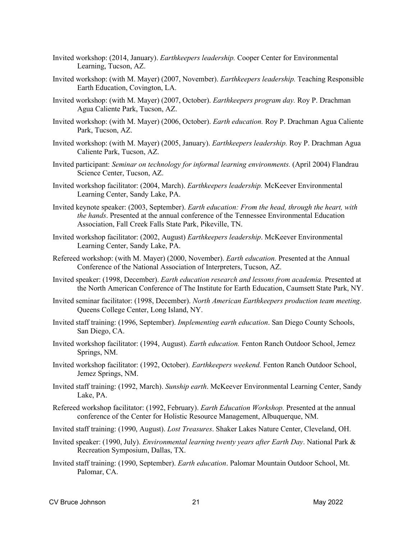- Invited workshop: (2014, January). *Earthkeepers leadership.* Cooper Center for Environmental Learning, Tucson, AZ.
- Invited workshop: (with M. Mayer) (2007, November). *Earthkeepers leadership.* Teaching Responsible Earth Education, Covington, LA.
- Invited workshop: (with M. Mayer) (2007, October). *Earthkeepers program day.* Roy P. Drachman Agua Caliente Park, Tucson, AZ.
- Invited workshop: (with M. Mayer) (2006, October). *Earth education.* Roy P. Drachman Agua Caliente Park, Tucson, AZ.
- Invited workshop: (with M. Mayer) (2005, January). *Earthkeepers leadership.* Roy P. Drachman Agua Caliente Park, Tucson, AZ.
- Invited participant: *Seminar on technology for informal learning environments.* (April 2004) Flandrau Science Center, Tucson, AZ.
- Invited workshop facilitator: (2004, March). *Earthkeepers leadership.* McKeever Environmental Learning Center, Sandy Lake, PA.
- Invited keynote speaker: (2003, September). *Earth education: From the head, through the heart, with the hands*. Presented at the annual conference of the Tennessee Environmental Education Association, Fall Creek Falls State Park, Pikeville, TN.
- Invited workshop facilitator: (2002, August) *Earthkeepers leadership*. McKeever Environmental Learning Center, Sandy Lake, PA.
- Refereed workshop: (with M. Mayer) (2000, November). *Earth education.* Presented at the Annual Conference of the National Association of Interpreters, Tucson, AZ.
- Invited speaker: (1998, December). *Earth education research and lessons from academia.* Presented at the North American Conference of The Institute for Earth Education, Caumsett State Park, NY.
- Invited seminar facilitator: (1998, December). *North American Earthkeepers production team meeting*. Queens College Center, Long Island, NY.
- Invited staff training: (1996, September). *Implementing earth education*. San Diego County Schools, San Diego, CA.
- Invited workshop facilitator: (1994, August). *Earth education.* Fenton Ranch Outdoor School, Jemez Springs, NM.
- Invited workshop facilitator: (1992, October). *Earthkeepers weekend.* Fenton Ranch Outdoor School, Jemez Springs, NM.
- Invited staff training: (1992, March). *Sunship earth*. McKeever Environmental Learning Center, Sandy Lake, PA.
- Refereed workshop facilitator: (1992, February). *Earth Education Workshop.* Presented at the annual conference of the Center for Holistic Resource Management, Albuquerque, NM.
- Invited staff training: (1990, August). *Lost Treasures*. Shaker Lakes Nature Center, Cleveland, OH.
- Invited speaker: (1990, July). *Environmental learning twenty years after Earth Day*. National Park & Recreation Symposium, Dallas, TX.
- Invited staff training: (1990, September). *Earth education*. Palomar Mountain Outdoor School, Mt. Palomar, CA.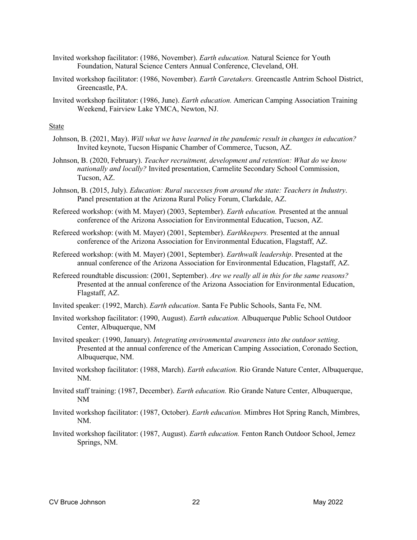- Invited workshop facilitator: (1986, November). *Earth education.* Natural Science for Youth Foundation, Natural Science Centers Annual Conference, Cleveland, OH.
- Invited workshop facilitator: (1986, November). *Earth Caretakers.* Greencastle Antrim School District, Greencastle, PA.
- Invited workshop facilitator: (1986, June). *Earth education.* American Camping Association Training Weekend, Fairview Lake YMCA, Newton, NJ.

#### State

- Johnson, B. (2021, May). *Will what we have learned in the pandemic result in changes in education?* Invited keynote, Tucson Hispanic Chamber of Commerce, Tucson, AZ.
- Johnson, B. (2020, February). *Teacher recruitment, development and retention: What do we know nationally and locally?* Invited presentation, Carmelite Secondary School Commission, Tucson, AZ.
- Johnson, B. (2015, July). *Education: Rural successes from around the state: Teachers in Industry*. Panel presentation at the Arizona Rural Policy Forum, Clarkdale, AZ.
- Refereed workshop: (with M. Mayer) (2003, September). *Earth education.* Presented at the annual conference of the Arizona Association for Environmental Education, Tucson, AZ.
- Refereed workshop: (with M. Mayer) (2001, September). *Earthkeepers.* Presented at the annual conference of the Arizona Association for Environmental Education, Flagstaff, AZ.
- Refereed workshop: (with M. Mayer) (2001, September). *Earthwalk leadership*. Presented at the annual conference of the Arizona Association for Environmental Education, Flagstaff, AZ.
- Refereed roundtable discussion: (2001, September). *Are we really all in this for the same reasons?* Presented at the annual conference of the Arizona Association for Environmental Education, Flagstaff, AZ.
- Invited speaker: (1992, March). *Earth education*. Santa Fe Public Schools, Santa Fe, NM.
- Invited workshop facilitator: (1990, August). *Earth education.* Albuquerque Public School Outdoor Center, Albuquerque, NM
- Invited speaker: (1990, January). *Integrating environmental awareness into the outdoor setting*. Presented at the annual conference of the American Camping Association, Coronado Section, Albuquerque, NM.
- Invited workshop facilitator: (1988, March). *Earth education.* Rio Grande Nature Center, Albuquerque, NM.
- Invited staff training: (1987, December). *Earth education.* Rio Grande Nature Center, Albuquerque, NM
- Invited workshop facilitator: (1987, October). *Earth education.* Mimbres Hot Spring Ranch, Mimbres, NM.
- Invited workshop facilitator: (1987, August). *Earth education.* Fenton Ranch Outdoor School, Jemez Springs, NM.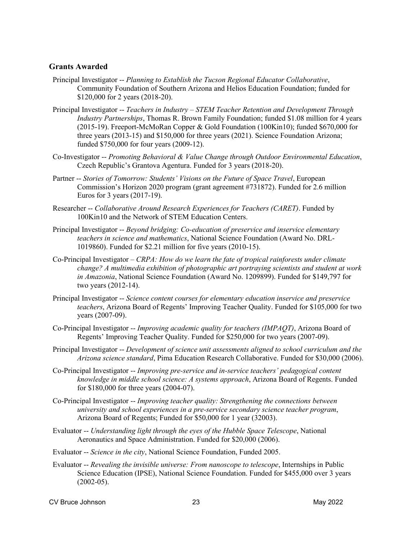# **Grants Awarded**

- Principal Investigator -- *Planning to Establish the Tucson Regional Educator Collaborative*, Community Foundation of Southern Arizona and Helios Education Foundation; funded for \$120,000 for 2 years (2018-20).
- Principal Investigator -- *Teachers in Industry – STEM Teacher Retention and Development Through Industry Partnerships*, Thomas R. Brown Family Foundation; funded \$1.08 million for 4 years (2015-19). Freeport-McMoRan Copper & Gold Foundation (100Kin10); funded \$670,000 for three years (2013-15) and \$150,000 for three years (2021). Science Foundation Arizona; funded \$750,000 for four years (2009-12).
- Co-Investigator -- *Promoting Behavioral & Value Change through Outdoor Environmental Education*, Czech Republic's Grantova Agentura. Funded for 3 years (2018-20).
- Partner -- *Stories of Tomorrow: Students' Visions on the Future of Space Travel*, European Commission's Horizon 2020 program (grant agreement #731872). Funded for 2.6 million Euros for 3 years (2017-19).
- Researcher -- *Collaborative Around Research Experiences for Teachers (CARET)*. Funded by 100Kin10 and the Network of STEM Education Centers.
- Principal Investigator -- *Beyond bridging: Co-education of preservice and inservice elementary teachers in science and mathematics*, National Science Foundation (Award No. DRL-1019860). Funded for \$2.21 million for five years (2010-15).
- Co-Principal Investigator *CRPA: How do we learn the fate of tropical rainforests under climate change? A multimedia exhibition of photographic art portraying scientists and student at work in Amazonia*, National Science Foundation (Award No. 1209899). Funded for \$149,797 for two years (2012-14).
- Principal Investigator -- *Science content courses for elementary education inservice and preservice teachers*, Arizona Board of Regents' Improving Teacher Quality. Funded for \$105,000 for two years (2007-09).
- Co-Principal Investigator -- *Improving academic quality for teachers (IMPAQT)*, Arizona Board of Regents' Improving Teacher Quality. Funded for \$250,000 for two years (2007-09).
- Principal Investigator -- *Development of science unit assessments aligned to school curriculum and the Arizona science standard*, Pima Education Research Collaborative. Funded for \$30,000 (2006).
- Co-Principal Investigator -- *Improving pre-service and in-service teachers' pedagogical content knowledge in middle school science: A systems approach*, Arizona Board of Regents. Funded for \$180,000 for three years (2004-07).
- Co-Principal Investigator -- *Improving teacher quality: Strengthening the connections between university and school experiences in a pre-service secondary science teacher program*, Arizona Board of Regents; Funded for \$50,000 for 1 year (32003).
- Evaluator -- *Understanding light through the eyes of the Hubble Space Telescope*, National Aeronautics and Space Administration. Funded for \$20,000 (2006).
- Evaluator -- *Science in the city*, National Science Foundation, Funded 2005.
- Evaluator -- *Revealing the invisible universe: From nanoscope to telescope*, Internships in Public Science Education (IPSE), National Science Foundation. Funded for \$455,000 over 3 years  $(2002-05)$ .

CV Bruce Johnson 23 May 2022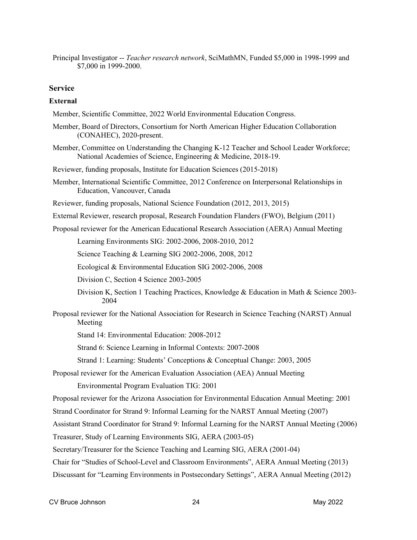Principal Investigator -- *Teacher research network*, SciMathMN, Funded \$5,000 in 1998-1999 and \$7,000 in 1999-2000.

## **Service**

### **External**

Member, Scientific Committee, 2022 World Environmental Education Congress.

- Member, Board of Directors, Consortium for North American Higher Education Collaboration (CONAHEC), 2020-present.
- Member, Committee on Understanding the Changing K-12 Teacher and School Leader Workforce; National Academies of Science, Engineering & Medicine, 2018-19.
- Reviewer, funding proposals, Institute for Education Sciences (2015-2018)
- Member, International Scientific Committee, 2012 Conference on Interpersonal Relationships in Education, Vancouver, Canada
- Reviewer, funding proposals, National Science Foundation (2012, 2013, 2015)
- External Reviewer, research proposal, Research Foundation Flanders (FWO), Belgium (2011)
- Proposal reviewer for the American Educational Research Association (AERA) Annual Meeting

Learning Environments SIG: 2002-2006, 2008-2010, 2012

Science Teaching & Learning SIG 2002-2006, 2008, 2012

Ecological & Environmental Education SIG 2002-2006, 2008

Division C, Section 4 Science 2003-2005

- Division K, Section 1 Teaching Practices, Knowledge & Education in Math & Science 2003- 2004
- Proposal reviewer for the National Association for Research in Science Teaching (NARST) Annual Meeting

Stand 14: Environmental Education: 2008-2012

Strand 6: Science Learning in Informal Contexts: 2007-2008

Strand 1: Learning: Students' Conceptions & Conceptual Change: 2003, 2005

Proposal reviewer for the American Evaluation Association (AEA) Annual Meeting Environmental Program Evaluation TIG: 2001

Proposal reviewer for the Arizona Association for Environmental Education Annual Meeting: 2001

Strand Coordinator for Strand 9: Informal Learning for the NARST Annual Meeting (2007)

Assistant Strand Coordinator for Strand 9: Informal Learning for the NARST Annual Meeting (2006)

Treasurer, Study of Learning Environments SIG, AERA (2003-05)

Secretary/Treasurer for the Science Teaching and Learning SIG, AERA (2001-04)

Chair for "Studies of School-Level and Classroom Environments", AERA Annual Meeting (2013)

Discussant for "Learning Environments in Postsecondary Settings", AERA Annual Meeting (2012)

CV Bruce Johnson 24 May 2022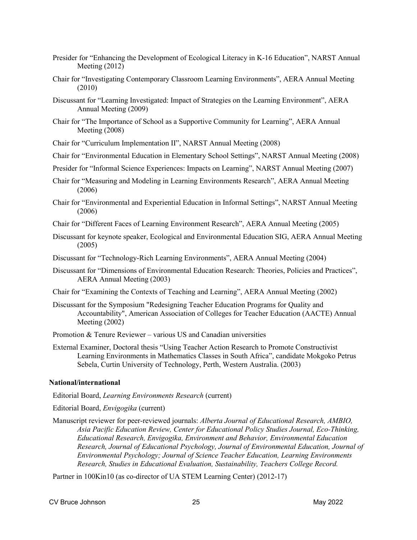- Presider for "Enhancing the Development of Ecological Literacy in K-16 Education", NARST Annual Meeting (2012)
- Chair for "Investigating Contemporary Classroom Learning Environments", AERA Annual Meeting (2010)
- Discussant for "Learning Investigated: Impact of Strategies on the Learning Environment", AERA Annual Meeting (2009)
- Chair for "The Importance of School as a Supportive Community for Learning", AERA Annual Meeting (2008)
- Chair for "Curriculum Implementation II", NARST Annual Meeting (2008)
- Chair for "Environmental Education in Elementary School Settings", NARST Annual Meeting (2008)
- Presider for "Informal Science Experiences: Impacts on Learning", NARST Annual Meeting (2007)
- Chair for "Measuring and Modeling in Learning Environments Research", AERA Annual Meeting (2006)
- Chair for "Environmental and Experiential Education in Informal Settings", NARST Annual Meeting (2006)
- Chair for "Different Faces of Learning Environment Research", AERA Annual Meeting (2005)
- Discussant for keynote speaker, Ecological and Environmental Education SIG, AERA Annual Meeting (2005)
- Discussant for "Technology-Rich Learning Environments", AERA Annual Meeting (2004)
- Discussant for "Dimensions of Environmental Education Research: Theories, Policies and Practices", AERA Annual Meeting (2003)
- Chair for "Examining the Contexts of Teaching and Learning", AERA Annual Meeting (2002)
- Discussant for the Symposium "Redesigning Teacher Education Programs for Quality and Accountability", American Association of Colleges for Teacher Education (AACTE) Annual Meeting (2002)
- Promotion & Tenure Reviewer various US and Canadian universities
- External Examiner, Doctoral thesis "Using Teacher Action Research to Promote Constructivist Learning Environments in Mathematics Classes in South Africa", candidate Mokgoko Petrus Sebela, Curtin University of Technology, Perth, Western Australia. (2003)

## **National/international**

Editorial Board, *Learning Environments Research* (current)

Editorial Board, *Envigogika* (current)

Manuscript reviewer for peer-reviewed journals: *Alberta Journal of Educational Research, AMBIO, Asia Pacific Education Review, Center for Educational Policy Studies Journal, Eco-Thinking, Educational Research, Envigogika, Environment and Behavior, Environmental Education Research, Journal of Educational Psychology, Journal of Environmental Education, Journal of Environmental Psychology; Journal of Science Teacher Education, Learning Environments Research, Studies in Educational Evaluation, Sustainability, Teachers College Record.*

Partner in 100Kin10 (as co-director of UA STEM Learning Center) (2012-17)

CV Bruce Johnson 25 May 2022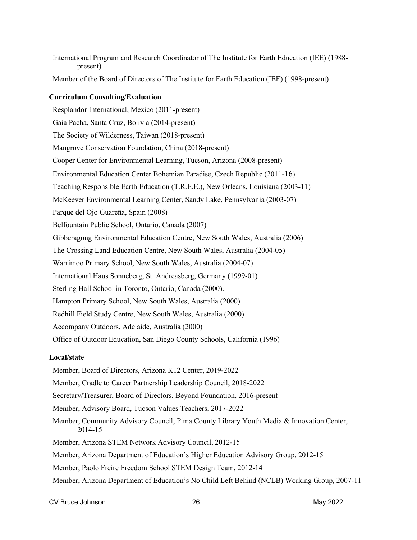International Program and Research Coordinator of The Institute for Earth Education (IEE) (1988 present)

Member of the Board of Directors of The Institute for Earth Education (IEE) (1998-present)

### **Curriculum Consulting/Evaluation**

Resplandor International, Mexico (2011-present) Gaia Pacha, Santa Cruz, Bolivia (2014-present) The Society of Wilderness, Taiwan (2018-present) Mangrove Conservation Foundation, China (2018-present) Cooper Center for Environmental Learning, Tucson, Arizona (2008-present) Environmental Education Center Bohemian Paradise, Czech Republic (2011-16) Teaching Responsible Earth Education (T.R.E.E.), New Orleans, Louisiana (2003-11) McKeever Environmental Learning Center, Sandy Lake, Pennsylvania (2003-07) Parque del Ojo Guareña, Spain (2008) Belfountain Public School, Ontario, Canada (2007) Gibberagong Environmental Education Centre, New South Wales, Australia (2006) The Crossing Land Education Centre, New South Wales, Australia (2004-05) Warrimoo Primary School, New South Wales, Australia (2004-07) International Haus Sonneberg, St. Andreasberg, Germany (1999-01) Sterling Hall School in Toronto, Ontario, Canada (2000). Hampton Primary School, New South Wales, Australia (2000) Redhill Field Study Centre, New South Wales, Australia (2000) Accompany Outdoors, Adelaide, Australia (2000) Office of Outdoor Education, San Diego County Schools, California (1996)

## **Local/state**

- Member, Board of Directors, Arizona K12 Center, 2019-2022
- Member, Cradle to Career Partnership Leadership Council, 2018-2022
- Secretary/Treasurer, Board of Directors, Beyond Foundation, 2016-present
- Member, Advisory Board, Tucson Values Teachers, 2017-2022
- Member, Community Advisory Council, Pima County Library Youth Media & Innovation Center, 2014-15
- Member, Arizona STEM Network Advisory Council, 2012-15
- Member, Arizona Department of Education's Higher Education Advisory Group, 2012-15
- Member, Paolo Freire Freedom School STEM Design Team, 2012-14
- Member, Arizona Department of Education's No Child Left Behind (NCLB) Working Group, 2007-11

CV Bruce Johnson 26 May 2022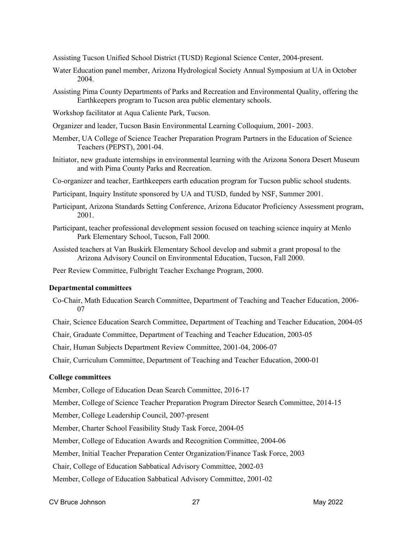Assisting Tucson Unified School District (TUSD) Regional Science Center, 2004-present.

- Water Education panel member, Arizona Hydrological Society Annual Symposium at UA in October 2004.
- Assisting Pima County Departments of Parks and Recreation and Environmental Quality, offering the Earthkeepers program to Tucson area public elementary schools.
- Workshop facilitator at Aqua Caliente Park, Tucson.
- Organizer and leader, Tucson Basin Environmental Learning Colloquium, 2001- 2003.
- Member, UA College of Science Teacher Preparation Program Partners in the Education of Science Teachers (PEPST), 2001-04.
- Initiator, new graduate internships in environmental learning with the Arizona Sonora Desert Museum and with Pima County Parks and Recreation.
- Co-organizer and teacher, Earthkeepers earth education program for Tucson public school students.
- Participant, Inquiry Institute sponsored by UA and TUSD, funded by NSF, Summer 2001.
- Participant, Arizona Standards Setting Conference, Arizona Educator Proficiency Assessment program, 2001.
- Participant, teacher professional development session focused on teaching science inquiry at Menlo Park Elementary School, Tucson, Fall 2000.
- Assisted teachers at Van Buskirk Elementary School develop and submit a grant proposal to the Arizona Advisory Council on Environmental Education, Tucson, Fall 2000.
- Peer Review Committee, Fulbright Teacher Exchange Program, 2000.

### **Departmental committees**

- Co-Chair, Math Education Search Committee, Department of Teaching and Teacher Education, 2006- 07
- Chair, Science Education Search Committee, Department of Teaching and Teacher Education, 2004-05
- Chair, Graduate Committee, Department of Teaching and Teacher Education, 2003-05

Chair, Human Subjects Department Review Committee, 2001-04, 2006-07

Chair, Curriculum Committee, Department of Teaching and Teacher Education, 2000-01

### **College committees**

Member, College of Education Dean Search Committee, 2016-17

Member, College of Science Teacher Preparation Program Director Search Committee, 2014-15

Member, College Leadership Council, 2007-present

Member, Charter School Feasibility Study Task Force, 2004-05

Member, College of Education Awards and Recognition Committee, 2004-06

Member, Initial Teacher Preparation Center Organization/Finance Task Force, 2003

Chair, College of Education Sabbatical Advisory Committee, 2002-03

Member, College of Education Sabbatical Advisory Committee, 2001-02

CV Bruce Johnson 27 May 2022